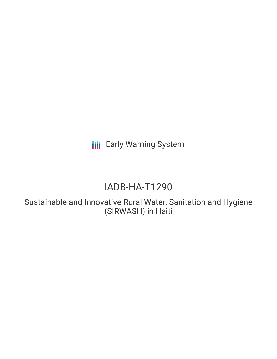**III** Early Warning System

# IADB-HA-T1290

Sustainable and Innovative Rural Water, Sanitation and Hygiene (SIRWASH) in Haiti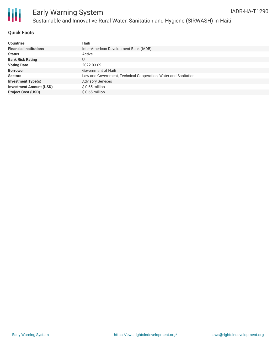

### **Quick Facts**

| <b>Countries</b>               | Haiti                                                           |
|--------------------------------|-----------------------------------------------------------------|
| <b>Financial Institutions</b>  | Inter-American Development Bank (IADB)                          |
| <b>Status</b>                  | Active                                                          |
| <b>Bank Risk Rating</b>        | U                                                               |
| <b>Voting Date</b>             | 2022-03-09                                                      |
| <b>Borrower</b>                | Government of Haiti                                             |
| <b>Sectors</b>                 | Law and Government, Technical Cooperation, Water and Sanitation |
| <b>Investment Type(s)</b>      | <b>Advisory Services</b>                                        |
| <b>Investment Amount (USD)</b> | $$0.65$ million                                                 |
| <b>Project Cost (USD)</b>      | $$0.65$ million                                                 |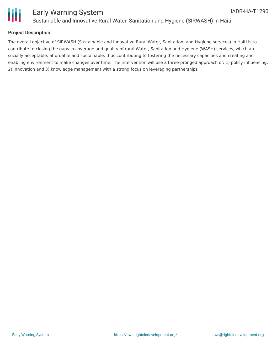

### **Project Description**

The overall objective of SIRWASH (Sustainable and Innovative Rural Water, Sanitation, and Hygiene services) in Haiti is to contribute to closing the gaps in coverage and quality of rural Water, Sanitation and Hygiene (WASH) services, which are socially acceptable, affordable and sustainable, thus contributing to fostering the necessary capacities and creating and enabling environment to make changes over time. The intervention will use a three-pronged approach of: 1) policy influencing, 2) innovation and 3) knowledge management with a strong focus on leveraging partnerships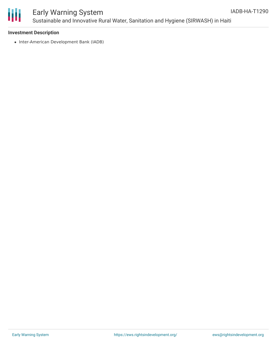

# Early Warning System Sustainable and Innovative Rural Water, Sanitation and Hygiene (SIRWASH) in Haiti

### **Investment Description**

• Inter-American Development Bank (IADB)